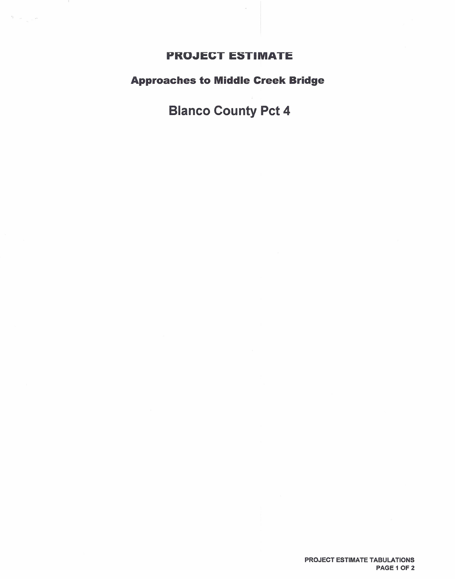## **PROJECT ESTIMATE**

 $\label{eq:12} \frac{d\mu}{dt} = \frac{1}{\sqrt{2}} \left[ \frac{d\mu}{dt} \right]$ 

## **Approaches to Middle Creek Bridge**

## **Blanco County Pct 4**

PROJECT ESTIMATE TABULATIONS PAGE 1 OF 2